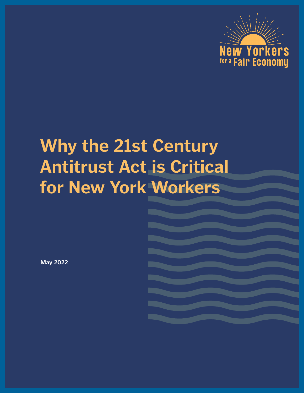

# **Why the 21st Century Antitrust Act is Critical for New York Workers**

**May 2022**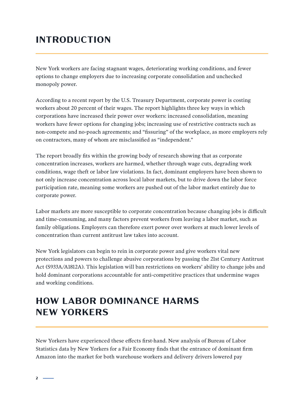#### **INTRODUCTION**

New York workers are facing stagnant wages, deteriorating working conditions, and fewer options to change employers due to increasing corporate consolidation and unchecked monopoly power.

poly power.<br>
rding to a recent report by the U.S. Treasury Department, corporate power is costing<br>
rers about 20 percent of their wages. The report highlights three key ways in which<br>
practions have increased their power o According to a recent report by the U.S. Treasury Department, corporate power is costing workers about 20 percent of their wages. The report highlights three key ways in which corporations have increased their power over workers: increased consolidation, meaning workers have fewer options for changing jobs; increasing use of restrictive contracts such as non-compete and no-poach agreements; and "fissuring" of the workplace, as more employers rely on contractors, many of whom are misclassified as "independent."

The report broadly fits within the growing body of research showing that as corporate concentration increases, workers are harmed, whether through wage cuts, degrading work conditions, wage theft or labor law violations. In fact, dominant employers have been shown to not only increase concentration across local labor markets, but to drive down the labor force participation rate, meaning some workers are pushed out of the labor market entirely due to corporate power.

Labor markets are more susceptible to corporate concentration because changing jobs is difficult and time-consuming, and many factors prevent workers from leaving a labor market, such as family obligations. Employers can therefore exert power over workers at much lower levels of concentration than current antitrust law takes into account.

New York legislators can begin to rein in corporate power and give workers vital new protections and powers to challenge abusive corporations by passing the 21st Century Antitrust Act (S933A/A1812A). This legislation will ban restrictions on workers' ability to change jobs and hold dominant corporations accountable for anti-competitive practices that undermine wages and working conditions.

## **HOW LABOR DOMINANCE HARMS NEW YORKERS**

New Yorkers have experienced these effects first-hand. New analysis of Bureau of Labor Statistics data by New Yorkers for a Fair Economy finds that the entrance of dominant firm Amazon into the market for both warehouse workers and delivery drivers lowered pay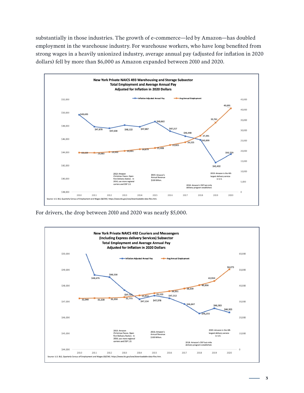substantially in those industries. The growth of e-commerce—led by Amazon—has doubled employment in the warehouse industry. For warehouse workers, who have long benefited from strong wages in a heavily unionized industry, average annual pay (adjusted for inflation in 2020 dollars) fell by more than \$6,000 as Amazon expanded between 2010 and 2020.



For drivers, the drop between 2010 and 2020 was nearly \$5,000.

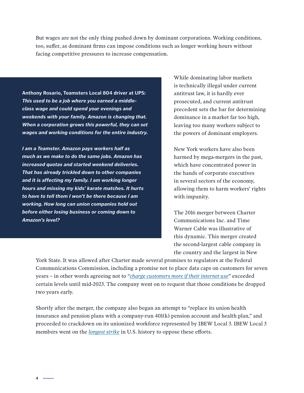But wages are not the only thing pushed down by dominant corporations. Working conditions, too, suffer, as dominant firms can impose conditions such as longer working hours without facing competitive pressures to increase compensation.

**Anthony Rosario, Teamsters Local 804 driver at UPS:**  *This used to be a job where you earned a middleclass wage and could spend your evenings and weekends with your family. Amazon is changing that. When a corporation grows this powerful, they can set wages and working conditions for the entire industry.* 

**EXERCATE SET AND SET UPS:**<br> **EMBARGING THE CONDITERAT SET AND SET AND SET AND SET AND SET AND SET AND SET AND SET AND SET AND SET AND SET AND SET AND SET AND SET AND SET AND SET AND SET AND SET AND SET AND SET AND SET AND** *I am a Teamster. Amazon pays workers half as much as we make to do the same jobs. Amazon has increased quotas and started weekend deliveries. That has already trickled down to other companies and it is affecting my family. I am working longer hours and missing my kids' karate matches. It hurts to have to tell them I won't be there because I am working. How long can union companies hold out before either losing business or coming down to Amazon's level?*

While dominating labor markets is technically illegal under current antitrust law, it is hardly ever prosecuted, and current antitrust precedent sets the bar for determining dominance in a market far too high, leaving too many workers subject to the powers of dominant employers.

New York workers have also been harmed by mega-mergers in the past, which have concentrated power in the hands of corporate executives in several sectors of the economy, allowing them to harm workers' rights with impunity.

The 2016 merger between Charter Communications Inc. and Time Warner Cable was illustrative of this dynamic. This merger created the second-largest cable company in the country and the largest in New

York State. It was allowed after Charter made several promises to regulators at the Federal Communications Commission, including a promise not to place data caps on customers for seven years – in other words agreeing not to "*charge customers more if their internet use*" exceeded certain levels until mid-2023. The company went on to request that those conditions be dropped two years early.

Shortly after the merger, the company also began an attempt to "replace its union health insurance and pension plans with a company-run 401(k) pension account and health plan," and proceeded to crackdown on its unionized workforce represented by IBEW Local 3. IBEW Local 3 members went on the *longest strike* in U.S. history to oppose these efforts.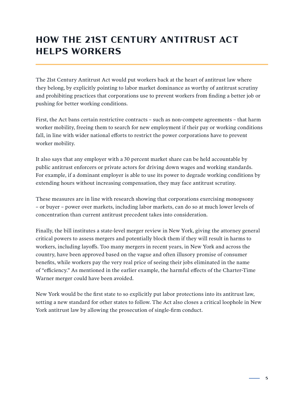## **HOW THE 21ST CENTURY ANTITRUST ACT HELPS WORKERS**

The 21st Century Antitrust Act would put workers back at the heart of antitrust law where they belong, by explicitly pointing to labor market dominance as worthy of antitrust scrutiny and prohibiting practices that corporations use to prevent workers from finding a better job or pushing for better working conditions.

First, the Act bans certain restrictive contracts – such as non-compete agreements – that harm worker mobility, freeing them to search for new employment if their pay or working conditions fall, in line with wider national efforts to restrict the power corporations have to prevent worker mobility.

It also says that any employer with a 30 percent market share can be held accountable by public antitrust enforcers or private actors for driving down wages and working standards. For example, if a dominant employer is able to use its power to degrade working conditions by extending hours without increasing compensation, they may face antitrust scrutiny.

These measures are in line with research showing that corporations exercising monopsony – or buyer – power over markets, including labor markets, can do so at much lower levels of concentration than current antitrust precedent takes into consideration.

Et century Amfurtuat Act would put workers back at the neart of antitutat aw worker<br>elong, by explicitly pointing to labor market dominance as worthy of antitrust scruti<br>ohibiting practices that corporations use to prevent Finally, the bill institutes a state-level merger review in New York, giving the attorney general critical powers to assess mergers and potentially block them if they will result in harms to workers, including layoffs. Too many mergers in recent years, in New York and across the country, have been approved based on the vague and often illusory promise of consumer benefits, while workers pay the very real price of seeing their jobs eliminated in the name of "efficiency." As mentioned in the earlier example, the harmful effects of the Charter-Time Warner merger could have been avoided.

New York would be the first state to so explicitly put labor protections into its antitrust law, setting a new standard for other states to follow. The Act also closes a critical loophole in New York antitrust law by allowing the prosecution of single-firm conduct.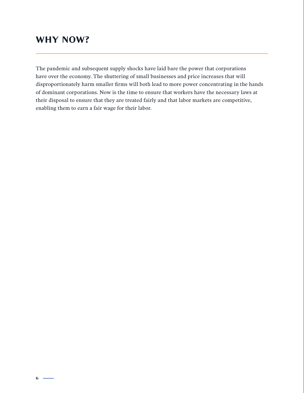#### **WHY NOW?**

constructed by harm smaller firms will both lead to more power concentrating in the iminant corporations. Now is the time to ensure that workers have the necessary law disposal to ensure that they are treated fairly and th The pandemic and subsequent supply shocks have laid bare the power that corporations have over the economy. The shuttering of small businesses and price increases that will disproportionately harm smaller firms will both lead to more power concentrating in the hands of dominant corporations. Now is the time to ensure that workers have the necessary laws at their disposal to ensure that they are treated fairly and that labor markets are competitive, enabling them to earn a fair wage for their labor.